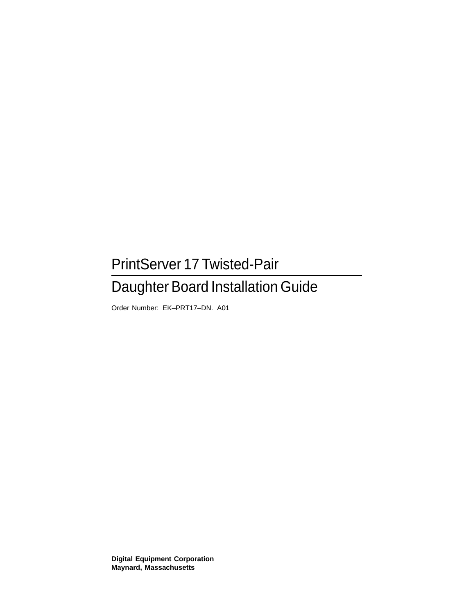## PrintServer 17 Twisted-Pair

## Daughter Board Installation Guide

Order Number: EK–PRT17–DN. A01

**Digital Equipment Corporation Maynard, Massachusetts**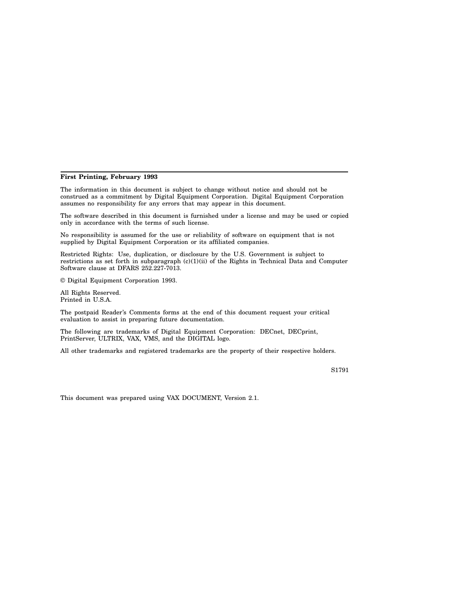#### **First Printing, February 1993**

The information in this document is subject to change without notice and should not be construed as a commitment by Digital Equipment Corporation. Digital Equipment Corporation assumes no responsibility for any errors that may appear in this document.

The software described in this document is furnished under a license and may be used or copied only in accordance with the terms of such license.

No responsibility is assumed for the use or reliability of software on equipment that is not supplied by Digital Equipment Corporation or its affiliated companies.

Restricted Rights: Use, duplication, or disclosure by the U.S. Government is subject to restrictions as set forth in subparagraph (c)(1)(ii) of the Rights in Technical Data and Computer Software clause at DFARS 252.227-7013.

© Digital Equipment Corporation 1993.

All Rights Reserved. Printed in U.S.A.

The postpaid Reader's Comments forms at the end of this document request your critical evaluation to assist in preparing future documentation.

The following are trademarks of Digital Equipment Corporation: DECnet, DECprint, PrintServer, ULTRIX, VAX, VMS, and the DIGITAL logo.

All other trademarks and registered trademarks are the property of their respective holders.

S1791

This document was prepared using VAX DOCUMENT, Version 2.1.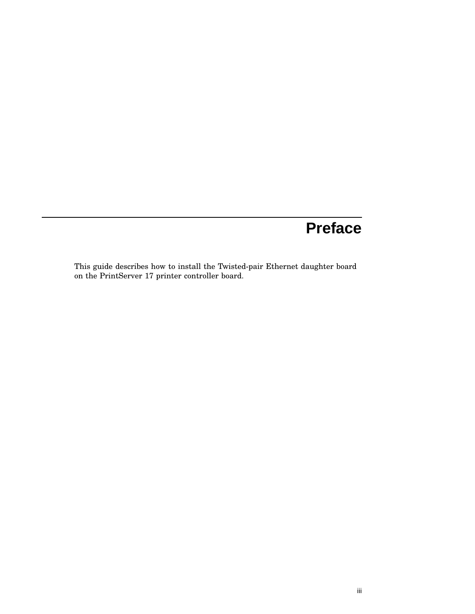# **Preface**

This guide describes how to install the Twisted-pair Ethernet daughter board on the PrintServer 17 printer controller board.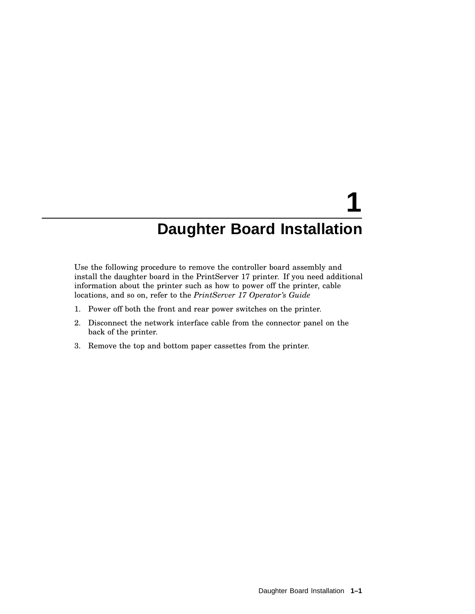# **1 Daughter Board Installation**

Use the following procedure to remove the controller board assembly and install the daughter board in the PrintServer 17 printer. If you need additional information about the printer such as how to power off the printer, cable locations, and so on, refer to the *PrintServer 17 Operator's Guide*

- 1. Power off both the front and rear power switches on the printer.
- 2. Disconnect the network interface cable from the connector panel on the back of the printer.
- 3. Remove the top and bottom paper cassettes from the printer.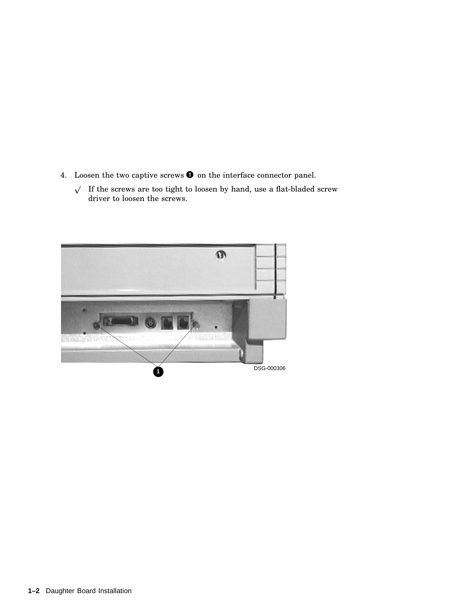- 4. Loosen the two captive screws  $\bullet$  on the interface connector panel.
	- $\sqrt{\phantom{a}}$  If the screws are too tight to loosen by hand, use a flat-bladed screw driver to loosen the screws.

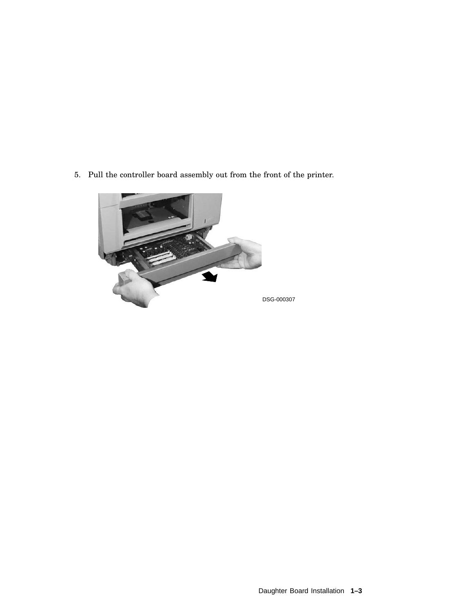5. Pull the controller board assembly out from the front of the printer.

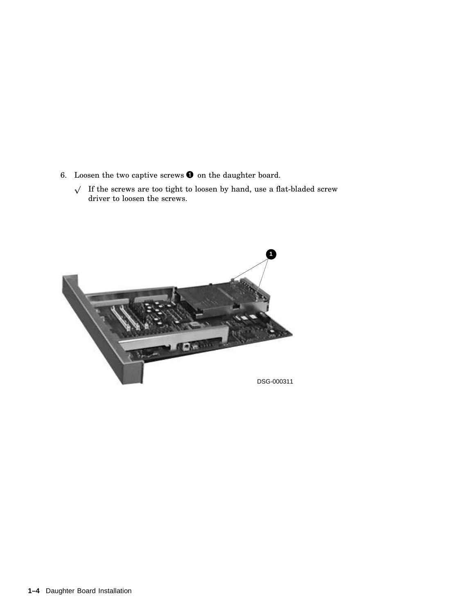- 6. Loosen the two captive screws  $\bullet$  on the daughter board.
	- $\sqrt{\phantom{a}}$  If the screws are too tight to loosen by hand, use a flat-bladed screw driver to loosen the screws.

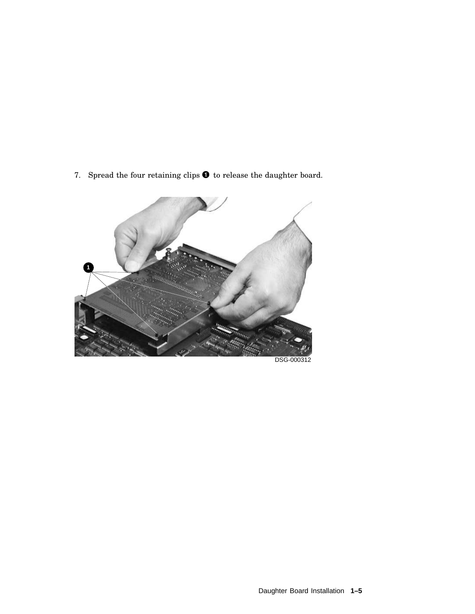7. Spread the four retaining clips  $\bullet$  to release the daughter board.

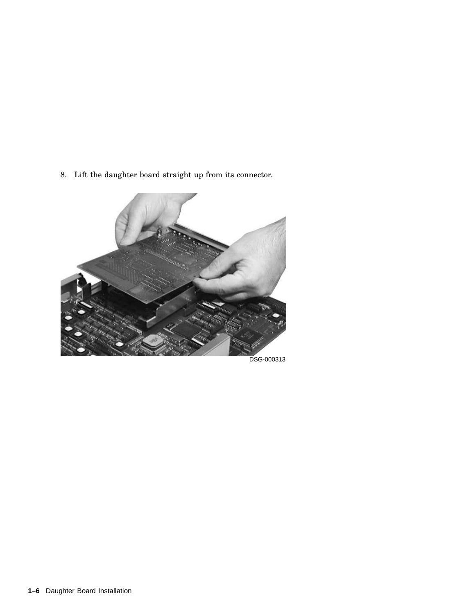8. Lift the daughter board straight up from its connector.



DSG-000313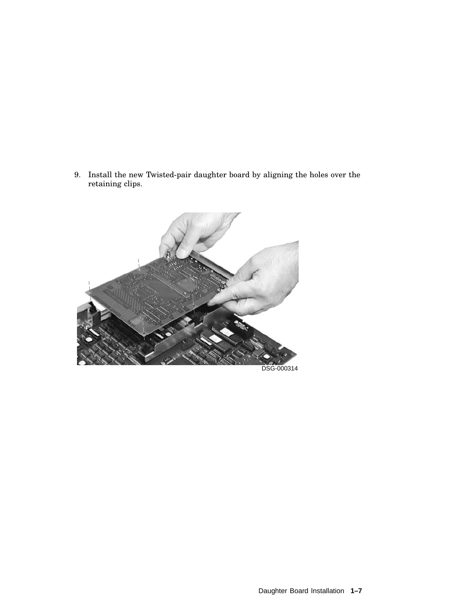9. Install the new Twisted-pair daughter board by aligning the holes over the retaining clips.

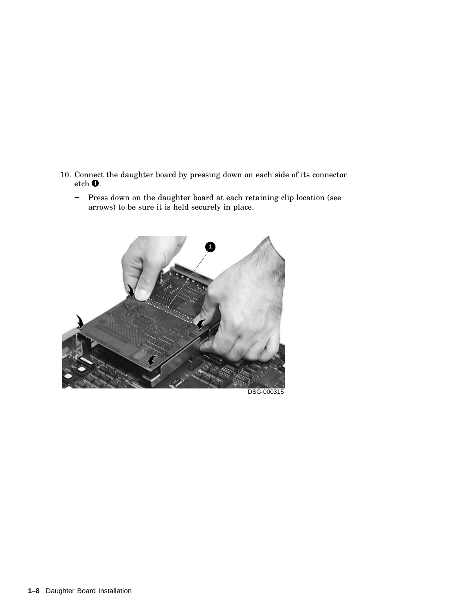- 10. Connect the daughter board by pressing down on each side of its connector etch  $\bullet$ .
	- Press down on the daughter board at each retaining clip location (see  $\qquad \qquad \blacksquare$ arrows) to be sure it is held securely in place.



DSG-000315